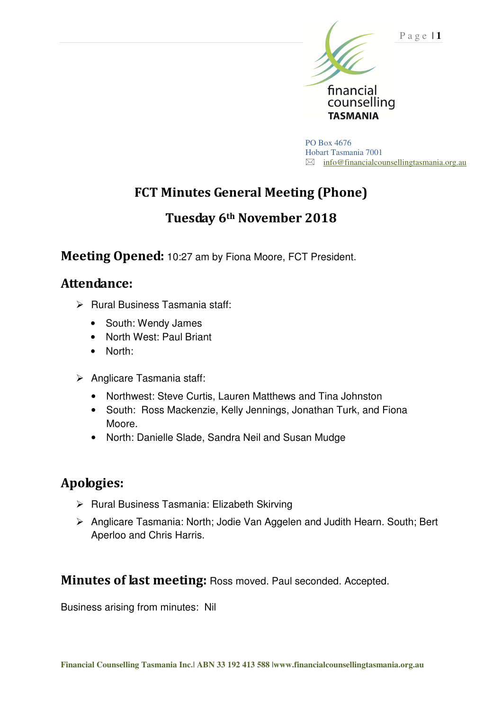

PO Box 4676 Hobart Tasmania 7001  $\boxtimes$  info@financialcounsellingtasmania.org.au

# **FCT Minutes General Meeting (Phone)**

# **Tuesday 6th November 2018**

**Meeting Opened:** 10:27 am by Fiona Moore, FCT President.

#### **Attendance:**

- $\triangleright$  Rural Business Tasmania staff:
	- South: Wendy James
	- North West: Paul Briant
	- North:
- > Anglicare Tasmania staff:
	- Northwest: Steve Curtis, Lauren Matthews and Tina Johnston
	- South: Ross Mackenzie, Kelly Jennings, Jonathan Turk, and Fiona Moore.
	- North: Danielle Slade, Sandra Neil and Susan Mudge

# **Apologies:**

- $\triangleright$  Rural Business Tasmania: Elizabeth Skirving
- Anglicare Tasmania: North; Jodie Van Aggelen and Judith Hearn. South; Bert Aperloo and Chris Harris.

**Minutes of last meeting:** Ross moved. Paul seconded. Accepted.

Business arising from minutes: Nil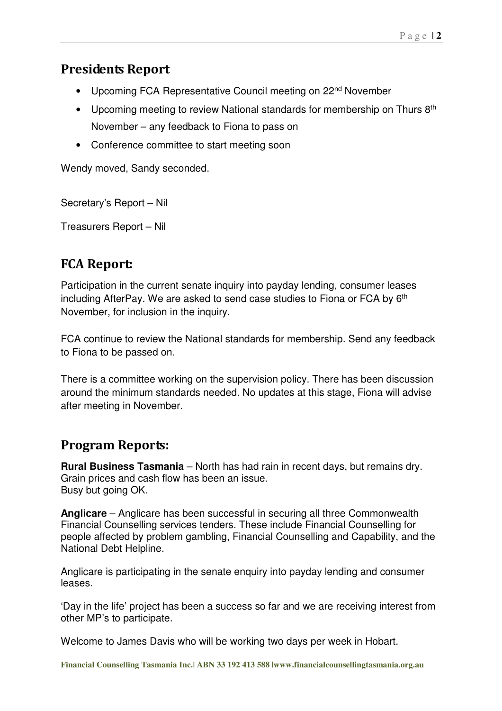#### **Presidents Report**

- Upcoming FCA Representative Council meeting on 22<sup>nd</sup> November
- Upcoming meeting to review National standards for membership on Thurs  $8<sup>th</sup>$ November – any feedback to Fiona to pass on
- Conference committee to start meeting soon

Wendy moved, Sandy seconded.

Secretary's Report – Nil

Treasurers Report – Nil

# **FCA Report:**

Participation in the current senate inquiry into payday lending, consumer leases including AfterPay. We are asked to send case studies to Fiona or FCA by 6<sup>th</sup> November, for inclusion in the inquiry.

FCA continue to review the National standards for membership. Send any feedback to Fiona to be passed on.

There is a committee working on the supervision policy. There has been discussion around the minimum standards needed. No updates at this stage, Fiona will advise after meeting in November.

# **Program Reports:**

**Rural Business Tasmania** – North has had rain in recent days, but remains dry. Grain prices and cash flow has been an issue. Busy but going OK.

**Anglicare** – Anglicare has been successful in securing all three Commonwealth Financial Counselling services tenders. These include Financial Counselling for people affected by problem gambling, Financial Counselling and Capability, and the National Debt Helpline.

Anglicare is participating in the senate enquiry into payday lending and consumer leases.

'Day in the life' project has been a success so far and we are receiving interest from other MP's to participate.

Welcome to James Davis who will be working two days per week in Hobart.

**Financial Counselling Tasmania Inc.| ABN 33 192 413 588 |www.financialcounsellingtasmania.org.au**